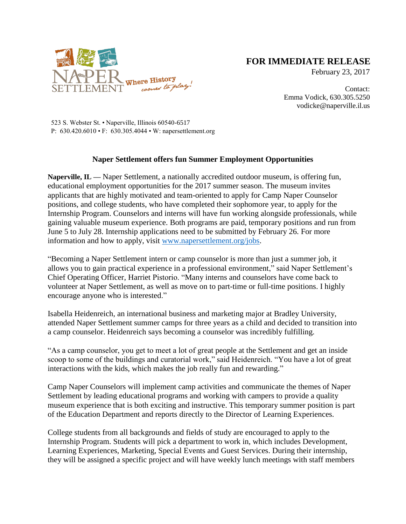

## **FOR IMMEDIATE RELEASE**

February 23, 2017

Contact: Emma Vodick, 630.305.5250 vodicke@naperville.il.us

523 S. Webster St. • Naperville, Illinois 60540-6517 P: 630.420.6010 • F: 630.305.4044 • W: napersettlement.org

## **Naper Settlement offers fun Summer Employment Opportunities**

**Naperville, IL —** Naper Settlement, a nationally accredited outdoor museum, is offering fun, educational employment opportunities for the 2017 summer season. The museum invites applicants that are highly motivated and team-oriented to apply for Camp Naper Counselor positions, and college students, who have completed their sophomore year, to apply for the Internship Program. Counselors and interns will have fun working alongside professionals, while gaining valuable museum experience. Both programs are paid, temporary positions and run from June 5 to July 28. Internship applications need to be submitted by February 26. For more information and how to apply, visit [www.napersettlement.org/jobs.](http://www.napersettlement.org/jobs)

"Becoming a Naper Settlement intern or camp counselor is more than just a summer job, it allows you to gain practical experience in a professional environment," said Naper Settlement's Chief Operating Officer, Harriet Pistorio. "Many interns and counselors have come back to volunteer at Naper Settlement, as well as move on to part-time or full-time positions. I highly encourage anyone who is interested."

Isabella Heidenreich, an international business and marketing major at Bradley University, attended Naper Settlement summer camps for three years as a child and decided to transition into a camp counselor. Heidenreich says becoming a counselor was incredibly fulfilling.

"As a camp counselor, you get to meet a lot of great people at the Settlement and get an inside scoop to some of the buildings and curatorial work," said Heidenreich. "You have a lot of great interactions with the kids, which makes the job really fun and rewarding."

Camp Naper Counselors will implement camp activities and communicate the themes of Naper Settlement by leading educational programs and working with campers to provide a quality museum experience that is both exciting and instructive. This temporary summer position is part of the Education Department and reports directly to the Director of Learning Experiences.

College students from all backgrounds and fields of study are encouraged to apply to the Internship Program. Students will pick a department to work in, which includes Development, Learning Experiences, Marketing, Special Events and Guest Services. During their internship, they will be assigned a specific project and will have weekly lunch meetings with staff members